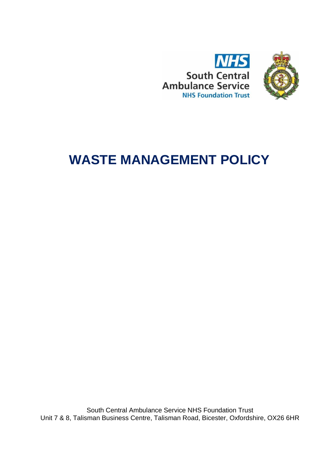



# **WASTE MANAGEMENT POLICY**

South Central Ambulance Service NHS Foundation Trust Unit 7 & 8, Talisman Business Centre, Talisman Road, Bicester, Oxfordshire, OX26 6HR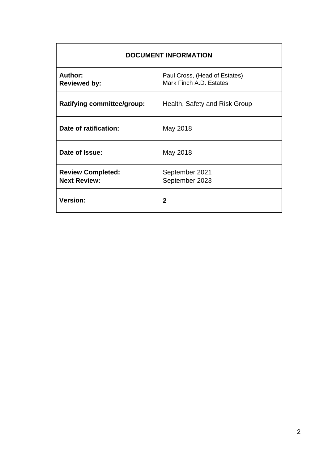| <b>DOCUMENT INFORMATION</b>                     |                                                          |  |
|-------------------------------------------------|----------------------------------------------------------|--|
| <b>Author:</b><br><b>Reviewed by:</b>           | Paul Cross, (Head of Estates)<br>Mark Finch A.D. Estates |  |
| <b>Ratifying committee/group:</b>               | Health, Safety and Risk Group                            |  |
| Date of ratification:                           | May 2018                                                 |  |
| Date of Issue:                                  | May 2018                                                 |  |
| <b>Review Completed:</b><br><b>Next Review:</b> | September 2021<br>September 2023                         |  |
| <b>Version:</b>                                 | $\mathbf{2}$                                             |  |

Ĭ.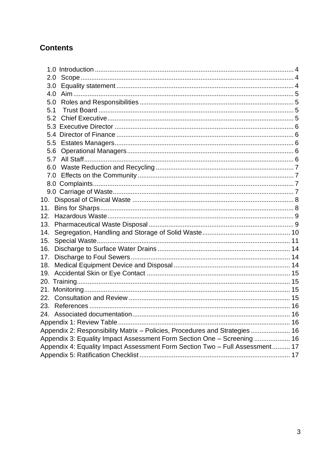# **Contents**

| 3.0 <sub>2</sub>                                                             |  |
|------------------------------------------------------------------------------|--|
|                                                                              |  |
| 5.0                                                                          |  |
| 5.1                                                                          |  |
|                                                                              |  |
|                                                                              |  |
|                                                                              |  |
|                                                                              |  |
|                                                                              |  |
|                                                                              |  |
|                                                                              |  |
| 7.0                                                                          |  |
|                                                                              |  |
|                                                                              |  |
| 10.                                                                          |  |
| 11.                                                                          |  |
| 12.                                                                          |  |
| 13.                                                                          |  |
| 14.                                                                          |  |
| 15.                                                                          |  |
| 16.                                                                          |  |
| 17.                                                                          |  |
| 18.                                                                          |  |
|                                                                              |  |
|                                                                              |  |
|                                                                              |  |
|                                                                              |  |
|                                                                              |  |
|                                                                              |  |
| Appendix 1: Review Table                                                     |  |
| Appendix 2: Responsibility Matrix - Policies, Procedures and Strategies  16  |  |
| Appendix 3: Equality Impact Assessment Form Section One - Screening  16      |  |
| Appendix 4: Equality Impact Assessment Form Section Two - Full Assessment 17 |  |
|                                                                              |  |
|                                                                              |  |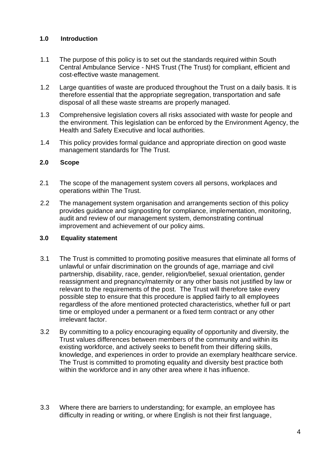#### <span id="page-3-0"></span>**1.0 Introduction**

- 1.1 The purpose of this policy is to set out the standards required within South Central Ambulance Service - NHS Trust (The Trust) for compliant, efficient and cost-effective waste management.
- 1.2 Large quantities of waste are produced throughout the Trust on a daily basis. It is therefore essential that the appropriate segregation, transportation and safe disposal of all these waste streams are properly managed.
- 1.3 Comprehensive legislation covers all risks associated with waste for people and the environment. This legislation can be enforced by the Environment Agency, the Health and Safety Executive and local authorities.
- 1.4This policy provides formal guidance and appropriate direction on good waste management standards for The Trust.

#### <span id="page-3-1"></span>**2.0 Scope**

- 2.1 The scope of the management system covers all persons, workplaces and operations within The Trust.
- 2.2 The management system organisation and arrangements section of this policy provides guidance and signposting for compliance, implementation, monitoring, audit and review of our management system, demonstrating continual improvement and achievement of our policy aims.

#### <span id="page-3-2"></span>**3.0 Equality statement**

- 3.1 The Trust is committed to promoting positive measures that eliminate all forms of unlawful or unfair discrimination on the grounds of age, marriage and civil partnership, disability, race, gender, religion/belief, sexual orientation, gender reassignment and pregnancy/maternity or any other basis not justified by law or relevant to the requirements of the post. The Trust will therefore take every possible step to ensure that this procedure is applied fairly to all employees regardless of the afore mentioned protected characteristics, whether full or part time or employed under a permanent or a fixed term contract or any other irrelevant factor.
- 3.2 By committing to a policy encouraging equality of opportunity and diversity, the Trust values differences between members of the community and within its existing workforce, and actively seeks to benefit from their differing skills, knowledge, and experiences in order to provide an exemplary healthcare service. The Trust is committed to promoting equality and diversity best practice both within the workforce and in any other area where it has influence.
- 3.3 Where there are barriers to understanding; for example, an employee has difficulty in reading or writing, or where English is not their first language,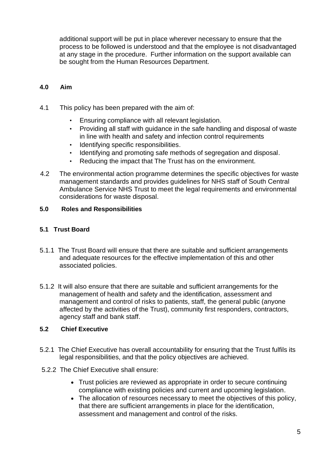additional support will be put in place wherever necessary to ensure that the process to be followed is understood and that the employee is not disadvantaged at any stage in the procedure. Further information on the support available can be sought from the Human Resources Department.

# <span id="page-4-0"></span>**4.0 Aim**

- 4.1 This policy has been prepared with the aim of:
	- Ensuring compliance with all relevant legislation.
	- Providing all staff with guidance in the safe handling and disposal of waste in line with health and safety and infection control requirements
	- Identifying specific responsibilities.
	- Identifying and promoting safe methods of segregation and disposal.
	- Reducing the impact that The Trust has on the environment.
- 4.2 The environmental action programme determines the specific objectives for waste management standards and provides guidelines for NHS staff of South Central Ambulance Service NHS Trust to meet the legal requirements and environmental considerations for waste disposal.

#### <span id="page-4-1"></span>**5.0 Roles and Responsibilities**

#### <span id="page-4-2"></span>**5.1 Trust Board**

- 5.1.1 The Trust Board will ensure that there are suitable and sufficient arrangements and adequate resources for the effective implementation of this and other associated policies.
- 5.1.2 It will also ensure that there are suitable and sufficient arrangements for the management of health and safety and the identification, assessment and management and control of risks to patients, staff, the general public (anyone affected by the activities of the Trust), community first responders, contractors, agency staff and bank staff.

#### <span id="page-4-3"></span>**5.2 Chief Executive**

- 5.2.1 The Chief Executive has overall accountability for ensuring that the Trust fulfils its legal responsibilities, and that the policy objectives are achieved.
- 5.2.2 The Chief Executive shall ensure:
	- Trust policies are reviewed as appropriate in order to secure continuing compliance with existing policies and current and upcoming legislation.
	- The allocation of resources necessary to meet the objectives of this policy, that there are sufficient arrangements in place for the identification, assessment and management and control of the risks.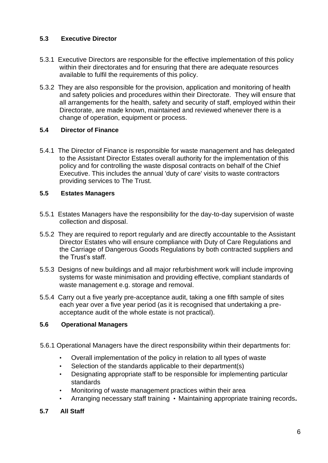## <span id="page-5-0"></span>**5.3 Executive Director**

- 5.3.1 Executive Directors are responsible for the effective implementation of this policy within their directorates and for ensuring that there are adequate resources available to fulfil the requirements of this policy.
- 5.3.2 They are also responsible for the provision, application and monitoring of health and safety policies and procedures within their Directorate. They will ensure that all arrangements for the health, safety and security of staff, employed within their Directorate, are made known, maintained and reviewed whenever there is a change of operation, equipment or process.

#### <span id="page-5-1"></span>**5.4 Director of Finance**

5.4.1 The Director of Finance is responsible for waste management and has delegated to the Assistant Director Estates overall authority for the implementation of this policy and for controlling the waste disposal contracts on behalf of the Chief Executive. This includes the annual 'duty of care' visits to waste contractors providing services to The Trust.

# <span id="page-5-2"></span>**5.5 Estates Managers**

- 5.5.1 Estates Managers have the responsibility for the day-to-day supervision of waste collection and disposal.
- 5.5.2 They are required to report regularly and are directly accountable to the Assistant Director Estates who will ensure compliance with Duty of Care Regulations and the Carriage of Dangerous Goods Regulations by both contracted suppliers and the Trust's staff.
- 5.5.3 Designs of new buildings and all major refurbishment work will include improving systems for waste minimisation and providing effective, compliant standards of waste management e.g. storage and removal.
- 5.5.4 Carry out a five yearly pre-acceptance audit, taking a one fifth sample of sites each year over a five year period (as it is recognised that undertaking a preacceptance audit of the whole estate is not practical).

# <span id="page-5-3"></span>**5.6 Operational Managers**

- 5.6.1 Operational Managers have the direct responsibility within their departments for:
	- Overall implementation of the policy in relation to all types of waste
	- Selection of the standards applicable to their department(s)
	- Designating appropriate staff to be responsible for implementing particular standards
	- Monitoring of waste management practices within their area
	- Arranging necessary staff training Maintaining appropriate training records**.**

#### <span id="page-5-4"></span>**5.7 All Staff**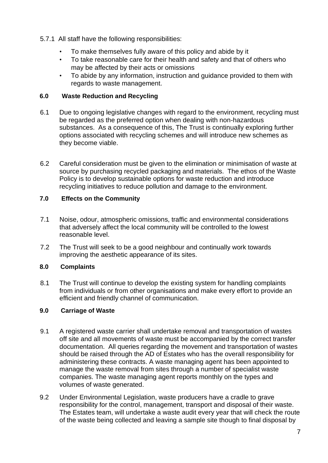- 5.7.1 All staff have the following responsibilities:
	- To make themselves fully aware of this policy and abide by it
	- To take reasonable care for their health and safety and that of others who may be affected by their acts or omissions
	- To abide by any information, instruction and guidance provided to them with regards to waste management.

# <span id="page-6-0"></span>**6.0 Waste Reduction and Recycling**

- 6.1 Due to ongoing legislative changes with regard to the environment, recycling must be regarded as the preferred option when dealing with non-hazardous substances. As a consequence of this, The Trust is continually exploring further options associated with recycling schemes and will introduce new schemes as they become viable.
- 6.2 Careful consideration must be given to the elimination or minimisation of waste at source by purchasing recycled packaging and materials. The ethos of the Waste Policy is to develop sustainable options for waste reduction and introduce recycling initiatives to reduce pollution and damage to the environment.

# <span id="page-6-1"></span>**7.0 Effects on the Community**

- 7.1 Noise, odour, atmospheric omissions, traffic and environmental considerations that adversely affect the local community will be controlled to the lowest reasonable level.
- 7.2 The Trust will seek to be a good neighbour and continually work towards improving the aesthetic appearance of its sites.

# <span id="page-6-2"></span>**8.0 Complaints**

8.1 The Trust will continue to develop the existing system for handling complaints from individuals or from other organisations and make every effort to provide an efficient and friendly channel of communication.

#### <span id="page-6-3"></span>**9.0 Carriage of Waste**

- 9.1 A registered waste carrier shall undertake removal and transportation of wastes off site and all movements of waste must be accompanied by the correct transfer documentation. All queries regarding the movement and transportation of wastes should be raised through the AD of Estates who has the overall responsibility for administering these contracts. A waste managing agent has been appointed to manage the waste removal from sites through a number of specialist waste companies. The waste managing agent reports monthly on the types and volumes of waste generated.
- 9.2 Under Environmental Legislation, waste producers have a cradle to grave responsibility for the control, management, transport and disposal of their waste. The Estates team, will undertake a waste audit every year that will check the route of the waste being collected and leaving a sample site though to final disposal by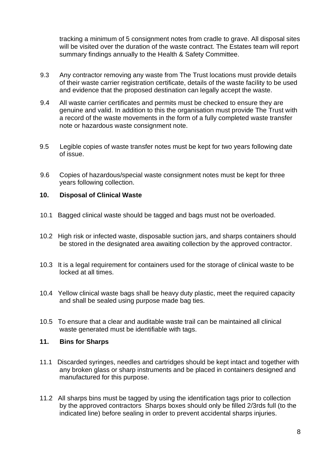tracking a minimum of 5 consignment notes from cradle to grave. All disposal sites will be visited over the duration of the waste contract. The Estates team will report summary findings annually to the Health & Safety Committee.

- 9.3 Any contractor removing any waste from The Trust locations must provide details of their waste carrier registration certificate, details of the waste facility to be used and evidence that the proposed destination can legally accept the waste.
- 9.4 All waste carrier certificates and permits must be checked to ensure they are genuine and valid. In addition to this the organisation must provide The Trust with a record of the waste movements in the form of a fully completed waste transfer note or hazardous waste consignment note.
- 9.5 Legible copies of waste transfer notes must be kept for two years following date of issue.
- 9.6 Copies of hazardous/special waste consignment notes must be kept for three years following collection.

#### <span id="page-7-0"></span>**10. Disposal of Clinical Waste**

- 10.1 Bagged clinical waste should be tagged and bags must not be overloaded.
- 10.2 High risk or infected waste, disposable suction jars, and sharps containers should be stored in the designated area awaiting collection by the approved contractor.
- 10.3 It is a legal requirement for containers used for the storage of clinical waste to be locked at all times.
- 10.4 Yellow clinical waste bags shall be heavy duty plastic, meet the required capacity and shall be sealed using purpose made bag ties.
- 10.5 To ensure that a clear and auditable waste trail can be maintained all clinical waste generated must be identifiable with tags.

#### <span id="page-7-1"></span>**11. Bins for Sharps**

- 11.1 Discarded syringes, needles and cartridges should be kept intact and together with any broken glass or sharp instruments and be placed in containers designed and manufactured for this purpose.
- 11.2 All sharps bins must be tagged by using the identification tags prior to collection by the approved contractors Sharps boxes should only be filled 2/3rds full (to the indicated line) before sealing in order to prevent accidental sharps injuries.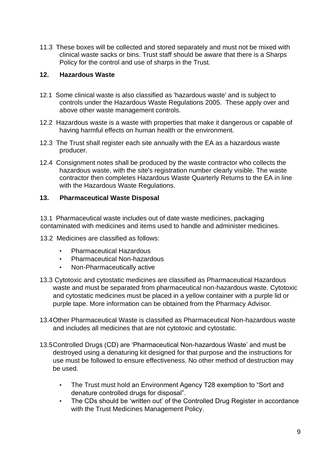11.3 These boxes will be collected and stored separately and must not be mixed with clinical waste sacks or bins. Trust staff should be aware that there is a Sharps Policy for the control and use of sharps in the Trust.

#### <span id="page-8-0"></span>**12. Hazardous Waste**

- 12.1 Some clinical waste is also classified as 'hazardous waste' and is subject to controls under the Hazardous Waste Regulations 2005. These apply over and above other waste management controls.
- 12.2 Hazardous waste is a waste with properties that make it dangerous or capable of having harmful effects on human health or the environment.
- 12.3 The Trust shall register each site annually with the EA as a hazardous waste producer.
- 12.4 Consignment notes shall be produced by the waste contractor who collects the hazardous waste, with the site's registration number clearly visible. The waste contractor then completes Hazardous Waste Quarterly Returns to the EA in line with the Hazardous Waste Regulations.

#### <span id="page-8-1"></span>**13. Pharmaceutical Waste Disposal**

13.1 Pharmaceutical waste includes out of date waste medicines, packaging contaminated with medicines and items used to handle and administer medicines.

- 13.2 Medicines are classified as follows:
	- Pharmaceutical Hazardous
	- Pharmaceutical Non-hazardous
	- Non-Pharmaceutically active
- 13.3 Cytotoxic and cytostatic medicines are classified as Pharmaceutical Hazardous waste and must be separated from pharmaceutical non-hazardous waste. Cytotoxic and cytostatic medicines must be placed in a yellow container with a purple lid or purple tape. More information can be obtained from the Pharmacy Advisor.
- 13.4Other Pharmaceutical Waste is classified as Pharmaceutical Non-hazardous waste and includes all medicines that are not cytotoxic and cytostatic.
- 13.5Controlled Drugs (CD) are 'Pharmaceutical Non-hazardous Waste' and must be destroyed using a denaturing kit designed for that purpose and the instructions for use must be followed to ensure effectiveness. No other method of destruction may be used.
	- The Trust must hold an Environment Agency T28 exemption to "Sort and denature controlled drugs for disposal".
	- The CDs should be 'written out' of the Controlled Drug Register in accordance with the Trust Medicines Management Policy.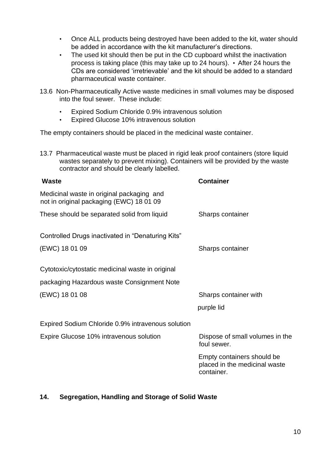- Once ALL products being destroyed have been added to the kit, water should be added in accordance with the kit manufacturer's directions.
- The used kit should then be put in the CD cupboard whilst the inactivation process is taking place (this may take up to 24 hours). • After 24 hours the CDs are considered 'irretrievable' and the kit should be added to a standard pharmaceutical waste container.
- 13.6 Non-Pharmaceutically Active waste medicines in small volumes may be disposed into the foul sewer. These include:
	- Expired Sodium Chloride 0.9% intravenous solution
	- Expired Glucose 10% intravenous solution

The empty containers should be placed in the medicinal waste container.

13.7 Pharmaceutical waste must be placed in rigid leak proof containers (store liquid wastes separately to prevent mixing). Containers will be provided by the waste contractor and should be clearly labelled.

| <b>Container</b>                                                          |
|---------------------------------------------------------------------------|
|                                                                           |
| Sharps container                                                          |
|                                                                           |
| Sharps container                                                          |
|                                                                           |
|                                                                           |
| Sharps container with                                                     |
| purple lid                                                                |
|                                                                           |
| Dispose of small volumes in the<br>foul sewer.                            |
| Empty containers should be<br>placed in the medicinal waste<br>container. |
|                                                                           |

#### <span id="page-9-0"></span>**14. Segregation, Handling and Storage of Solid Waste**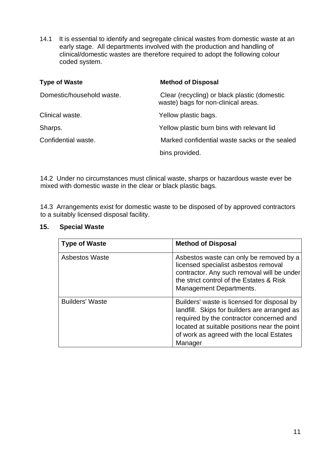14.1 It is essential to identify and segregate clinical wastes from domestic waste at an early stage. All departments involved with the production and handling of clinical/domestic wastes are therefore required to adopt the following colour coded system.

| <b>Type of Waste</b>      | <b>Method of Disposal</b>                                                           |
|---------------------------|-------------------------------------------------------------------------------------|
| Domestic/household waste. | Clear (recycling) or black plastic (domestic<br>waste) bags for non-clinical areas. |
| Clinical waste.           | Yellow plastic bags.                                                                |
| Sharps.                   | Yellow plastic burn bins with relevant lid                                          |
| Confidential waste.       | Marked confidential waste sacks or the sealed                                       |
|                           | bins provided.                                                                      |

14.2 Under no circumstances must clinical waste, sharps or hazardous waste ever be mixed with domestic waste in the clear or black plastic bags.

14.3 Arrangements exist for domestic waste to be disposed of by approved contractors to a suitably licensed disposal facility.

#### <span id="page-10-0"></span>**15. Special Waste**

| <b>Type of Waste</b>   | <b>Method of Disposal</b>                                                                                                                                                                                                                      |
|------------------------|------------------------------------------------------------------------------------------------------------------------------------------------------------------------------------------------------------------------------------------------|
| <b>Asbestos Waste</b>  | Asbestos waste can only be removed by a<br>licensed specialist asbestos removal<br>contractor. Any such removal will be under<br>the strict control of the Estates & Risk<br><b>Management Departments.</b>                                    |
| <b>Builders' Waste</b> | Builders' waste is licensed for disposal by<br>landfill. Skips for builders are arranged as<br>required by the contractor concerned and<br>located at suitable positions near the point<br>of work as agreed with the local Estates<br>Manager |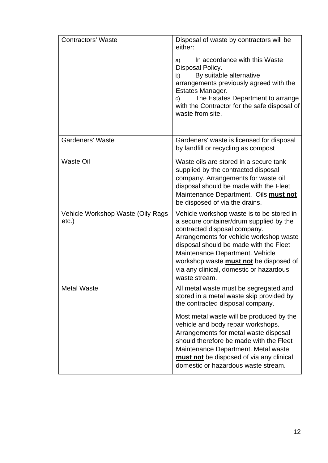| <b>Contractors' Waste</b>                  | Disposal of waste by contractors will be<br>either:                                                                                                                                                                                                                                                                                                       |
|--------------------------------------------|-----------------------------------------------------------------------------------------------------------------------------------------------------------------------------------------------------------------------------------------------------------------------------------------------------------------------------------------------------------|
|                                            | In accordance with this Waste<br>a)<br>Disposal Policy.<br>By suitable alternative<br>b)<br>arrangements previously agreed with the<br>Estates Manager.<br>The Estates Department to arrange<br>c)<br>with the Contractor for the safe disposal of<br>waste from site.                                                                                    |
| <b>Gardeners' Waste</b>                    | Gardeners' waste is licensed for disposal<br>by landfill or recycling as compost                                                                                                                                                                                                                                                                          |
| <b>Waste Oil</b>                           | Waste oils are stored in a secure tank<br>supplied by the contracted disposal<br>company. Arrangements for waste oil<br>disposal should be made with the Fleet<br>Maintenance Department. Oils <b>must not</b><br>be disposed of via the drains.                                                                                                          |
| Vehicle Workshop Waste (Oily Rags<br>etc.) | Vehicle workshop waste is to be stored in<br>a secure container/drum supplied by the<br>contracted disposal company.<br>Arrangements for vehicle workshop waste<br>disposal should be made with the Fleet<br>Maintenance Department. Vehicle<br>workshop waste <b>must not</b> be disposed of<br>via any clinical, domestic or hazardous<br>waste stream. |
| <b>Metal Waste</b>                         | All metal waste must be segregated and<br>stored in a metal waste skip provided by<br>the contracted disposal company.                                                                                                                                                                                                                                    |
|                                            | Most metal waste will be produced by the<br>vehicle and body repair workshops.<br>Arrangements for metal waste disposal<br>should therefore be made with the Fleet<br>Maintenance Department. Metal waste<br>must not be disposed of via any clinical,<br>domestic or hazardous waste stream.                                                             |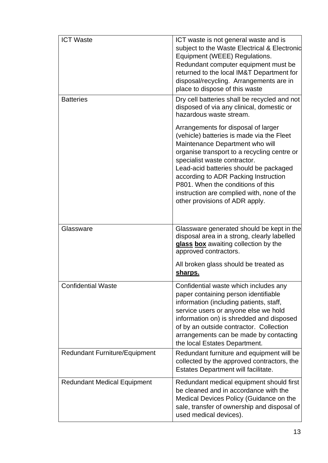| <b>ICT Waste</b>                     | ICT waste is not general waste and is<br>subject to the Waste Electrical & Electronic<br>Equipment (WEEE) Regulations.<br>Redundant computer equipment must be<br>returned to the local IM&T Department for<br>disposal/recycling. Arrangements are in<br>place to dispose of this waste                                                                                                                  |
|--------------------------------------|-----------------------------------------------------------------------------------------------------------------------------------------------------------------------------------------------------------------------------------------------------------------------------------------------------------------------------------------------------------------------------------------------------------|
| <b>Batteries</b>                     | Dry cell batteries shall be recycled and not<br>disposed of via any clinical, domestic or<br>hazardous waste stream.                                                                                                                                                                                                                                                                                      |
|                                      | Arrangements for disposal of larger<br>(vehicle) batteries is made via the Fleet<br>Maintenance Department who will<br>organise transport to a recycling centre or<br>specialist waste contractor.<br>Lead-acid batteries should be packaged<br>according to ADR Packing Instruction<br>P801. When the conditions of this<br>instruction are complied with, none of the<br>other provisions of ADR apply. |
| Glassware                            | Glassware generated should be kept in the<br>disposal area in a strong, clearly labelled<br>glass box awaiting collection by the<br>approved contractors.                                                                                                                                                                                                                                                 |
|                                      | All broken glass should be treated as<br>sharps.                                                                                                                                                                                                                                                                                                                                                          |
| <b>Confidential Waste</b>            | Confidential waste which includes any<br>paper containing person identifiable<br>information (including patients, staff,<br>service users or anyone else we hold<br>information on) is shredded and disposed<br>of by an outside contractor. Collection<br>arrangements can be made by contacting<br>the local Estates Department.                                                                        |
| <b>Redundant Furniture/Equipment</b> | Redundant furniture and equipment will be<br>collected by the approved contractors, the<br>Estates Department will facilitate.                                                                                                                                                                                                                                                                            |
| <b>Redundant Medical Equipment</b>   | Redundant medical equipment should first<br>be cleaned and in accordance with the<br>Medical Devices Policy (Guidance on the<br>sale, transfer of ownership and disposal of<br>used medical devices).                                                                                                                                                                                                     |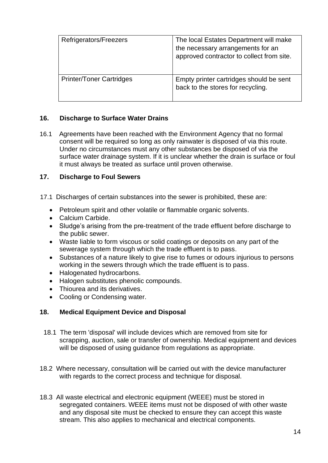| Refrigerators/Freezers          | The local Estates Department will make<br>the necessary arrangements for an<br>approved contractor to collect from site. |
|---------------------------------|--------------------------------------------------------------------------------------------------------------------------|
| <b>Printer/Toner Cartridges</b> | Empty printer cartridges should be sent<br>back to the stores for recycling.                                             |

# <span id="page-13-0"></span>**16. Discharge to Surface Water Drains**

16.1 Agreements have been reached with the Environment Agency that no formal consent will be required so long as only rainwater is disposed of via this route. Under no circumstances must any other substances be disposed of via the surface water drainage system. If it is unclear whether the drain is surface or foul it must always be treated as surface until proven otherwise.

# <span id="page-13-1"></span>**17. Discharge to Foul Sewers**

- 17.1 Discharges of certain substances into the sewer is prohibited, these are:
	- Petroleum spirit and other volatile or flammable organic solvents.
	- Calcium Carbide.
	- Sludge's arising from the pre-treatment of the trade effluent before discharge to the public sewer.
	- Waste liable to form viscous or solid coatings or deposits on any part of the sewerage system through which the trade effluent is to pass.
	- Substances of a nature likely to give rise to fumes or odours injurious to persons working in the sewers through which the trade effluent is to pass.
	- Halogenated hydrocarbons.
	- Halogen substitutes phenolic compounds.
	- Thiourea and its derivatives.
	- Cooling or Condensing water.

#### <span id="page-13-2"></span>**18. Medical Equipment Device and Disposal**

- 18.1 The term 'disposal' will include devices which are removed from site for scrapping, auction, sale or transfer of ownership. Medical equipment and devices will be disposed of using quidance from regulations as appropriate.
- 18.2 Where necessary, consultation will be carried out with the device manufacturer with regards to the correct process and technique for disposal.
- 18.3 All waste electrical and electronic equipment (WEEE) must be stored in segregated containers. WEEE items must not be disposed of with other waste and any disposal site must be checked to ensure they can accept this waste stream. This also applies to mechanical and electrical components.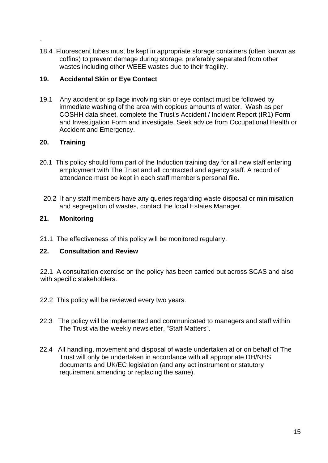18.4 Fluorescent tubes must be kept in appropriate storage containers (often known as coffins) to prevent damage during storage, preferably separated from other wastes including other WEEE wastes due to their fragility.

#### <span id="page-14-0"></span>**19. Accidental Skin or Eye Contact**

19.1 Any accident or spillage involving skin or eye contact must be followed by immediate washing of the area with copious amounts of water. Wash as per COSHH data sheet, complete the Trust's Accident / Incident Report (IR1) Form and Investigation Form and investigate. Seek advice from Occupational Health or Accident and Emergency.

#### <span id="page-14-1"></span>**20. Training**

.

- 20.1 This policy should form part of the Induction training day for all new staff entering employment with The Trust and all contracted and agency staff. A record of attendance must be kept in each staff member's personal file.
- 20.2 If any staff members have any queries regarding waste disposal or minimisation and segregation of wastes, contact the local Estates Manager.

#### <span id="page-14-2"></span>**21. Monitoring**

21.1 The effectiveness of this policy will be monitored regularly.

#### <span id="page-14-3"></span>**22. Consultation and Review**

22.1 A consultation exercise on the policy has been carried out across SCAS and also with specific stakeholders.

- 22.2 This policy will be reviewed every two years.
- 22.3 The policy will be implemented and communicated to managers and staff within The Trust via the weekly newsletter, "Staff Matters".
- 22.4 All handling, movement and disposal of waste undertaken at or on behalf of The Trust will only be undertaken in accordance with all appropriate DH/NHS documents and UK/EC legislation (and any act instrument or statutory requirement amending or replacing the same).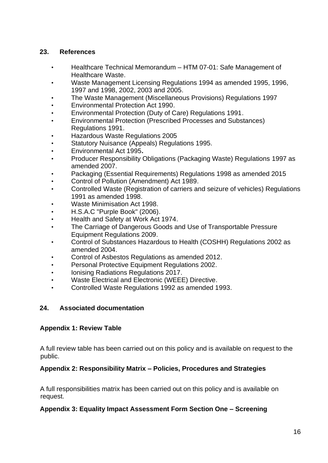#### <span id="page-15-0"></span>**23. References**

- Healthcare Technical Memorandum HTM 07-01: Safe Management of Healthcare Waste.
- Waste Management Licensing Regulations 1994 as amended 1995, 1996, 1997 and 1998, 2002, 2003 and 2005.
- The Waste Management (Miscellaneous Provisions) Regulations 1997
- Environmental Protection Act 1990.
- Environmental Protection (Duty of Care) Regulations 1991.
- Environmental Protection (Prescribed Processes and Substances) Regulations 1991.
- Hazardous Waste Regulations 2005
- Statutory Nuisance (Appeals) Regulations 1995.
- Environmental Act 1995**.**
- Producer Responsibility Obligations (Packaging Waste) Regulations 1997 as amended 2007.
- Packaging (Essential Requirements) Regulations 1998 as amended 2015
- Control of Pollution (Amendment) Act 1989.
- Controlled Waste (Registration of carriers and seizure of vehicles) Regulations 1991 as amended 1998.
- Waste Minimisation Act 1998.
- H.S.A.C "Purple Book" (2006).
- Health and Safety at Work Act 1974.
- The Carriage of Dangerous Goods and Use of Transportable Pressure Equipment Regulations 2009.
- Control of Substances Hazardous to Health (COSHH) Regulations 2002 as amended 2004.
- Control of Asbestos Regulations as amended 2012.
- Personal Protective Equipment Regulations 2002.
- Ionising Radiations Regulations 2017.
- Waste Electrical and Electronic (WEEE) Directive.
- Controlled Waste Regulations 1992 as amended 1993.

#### <span id="page-15-1"></span>**24. Associated documentation**

#### <span id="page-15-2"></span>**Appendix 1: Review Table**

A full review table has been carried out on this policy and is available on request to the public.

#### <span id="page-15-3"></span>**Appendix 2: Responsibility Matrix – Policies, Procedures and Strategies**

A full responsibilities matrix has been carried out on this policy and is available on request.

#### <span id="page-15-4"></span>**Appendix 3: Equality Impact Assessment Form Section One – Screening**